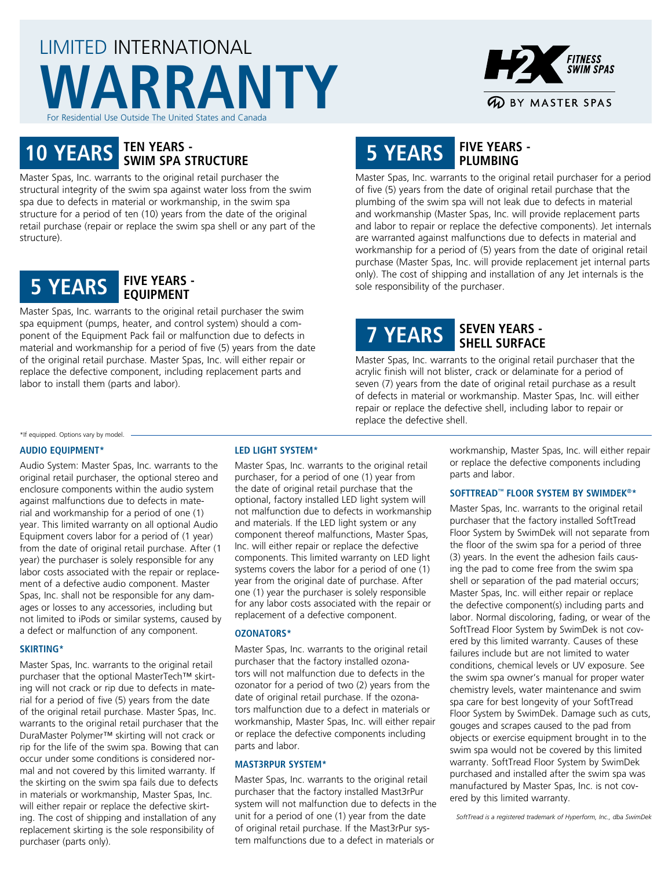# LIMITED INTERNATIONAL **WARRANTY** For Residential Use Outside The United States and Canada



# **10 YEARS TEN YEARS - SWIM SPA STRUCTURE**

Master Spas, Inc. warrants to the original retail purchaser the structural integrity of the swim spa against water loss from the swim spa due to defects in material or workmanship, in the swim spa structure for a period of ten (10) years from the date of the original retail purchase (repair or replace the swim spa shell or any part of the structure).



Master Spas, Inc. warrants to the original retail purchaser the swim spa equipment (pumps, heater, and control system) should a component of the Equipment Pack fail or malfunction due to defects in material and workmanship for a period of five (5) years from the date of the original retail purchase. Master Spas, Inc. will either repair or replace the defective component, including replacement parts and labor to install them (parts and labor).

# **5 YEARS FIVE YEARS - PLUMBING**

Master Spas, Inc. warrants to the original retail purchaser for a period of five (5) years from the date of original retail purchase that the plumbing of the swim spa will not leak due to defects in material and workmanship (Master Spas, Inc. will provide replacement parts and labor to repair or replace the defective components). Jet internals are warranted against malfunctions due to defects in material and workmanship for a period of (5) years from the date of original retail purchase (Master Spas, Inc. will provide replacement jet internal parts only). The cost of shipping and installation of any Jet internals is the sole responsibility of the purchaser.

# **7 YEARS SEVEN YEARS - SHELL SURFACE**

Master Spas, Inc. warrants to the original retail purchaser that the acrylic finish will not blister, crack or delaminate for a period of seven (7) years from the date of original retail purchase as a result of defects in material or workmanship. Master Spas, Inc. will either repair or replace the defective shell, including labor to repair or replace the defective shell.

#### \*If equipped. Options vary by model.

#### **AUDIO EQUIPMENT\***

Audio System: Master Spas, Inc. warrants to the original retail purchaser, the optional stereo and enclosure components within the audio system against malfunctions due to defects in material and workmanship for a period of one (1) year. This limited warranty on all optional Audio Equipment covers labor for a period of (1 year) from the date of original retail purchase. After (1 year) the purchaser is solely responsible for any labor costs associated with the repair or replacement of a defective audio component. Master Spas, Inc. shall not be responsible for any damages or losses to any accessories, including but not limited to iPods or similar systems, caused by a defect or malfunction of any component.

### **SKIRTING\***

Master Spas, Inc. warrants to the original retail purchaser that the optional MasterTech™ skirting will not crack or rip due to defects in material for a period of five (5) years from the date of the original retail purchase. Master Spas, Inc. warrants to the original retail purchaser that the DuraMaster Polymer™ skirting will not crack or rip for the life of the swim spa. Bowing that can occur under some conditions is considered normal and not covered by this limited warranty. If the skirting on the swim spa fails due to defects in materials or workmanship, Master Spas, Inc. will either repair or replace the defective skirting. The cost of shipping and installation of any replacement skirting is the sole responsibility of purchaser (parts only).

## **LED LIGHT SYSTEM\***

Master Spas, Inc. warrants to the original retail purchaser, for a period of one (1) year from the date of original retail purchase that the optional, factory installed LED light system will not malfunction due to defects in workmanship and materials. If the LED light system or any component thereof malfunctions, Master Spas, Inc. will either repair or replace the defective components. This limited warranty on LED light systems covers the labor for a period of one (1) year from the original date of purchase. After one (1) year the purchaser is solely responsible for any labor costs associated with the repair or replacement of a defective component.

### **OZONATORS\***

Master Spas, Inc. warrants to the original retail purchaser that the factory installed ozonators will not malfunction due to defects in the ozonator for a period of two (2) years from the date of original retail purchase. If the ozonators malfunction due to a defect in materials or workmanship, Master Spas, Inc. will either repair or replace the defective components including parts and labor.

#### **MAST3RPUR SYSTEM\***

Master Spas, Inc. warrants to the original retail purchaser that the factory installed Mast3rPur system will not malfunction due to defects in the unit for a period of one (1) year from the date of original retail purchase. If the Mast3rPur system malfunctions due to a defect in materials or

workmanship, Master Spas, Inc. will either repair or replace the defective components including parts and labor.

#### **SOFTTREAD™ FLOOR SYSTEM BY SWIMDEK®\***

Master Spas, Inc. warrants to the original retail purchaser that the factory installed SoftTread Floor System by SwimDek will not separate from the floor of the swim spa for a period of three (3) years. In the event the adhesion fails causing the pad to come free from the swim spa shell or separation of the pad material occurs; Master Spas, Inc. will either repair or replace the defective component(s) including parts and labor. Normal discoloring, fading, or wear of the SoftTread Floor System by SwimDek is not covered by this limited warranty. Causes of these failures include but are not limited to water conditions, chemical levels or UV exposure. See the swim spa owner's manual for proper water chemistry levels, water maintenance and swim spa care for best longevity of your SoftTread Floor System by SwimDek. Damage such as cuts, gouges and scrapes caused to the pad from objects or exercise equipment brought in to the swim spa would not be covered by this limited warranty. SoftTread Floor System by SwimDek purchased and installed after the swim spa was manufactured by Master Spas, Inc. is not covered by this limited warranty.

*SoftTread is a registered trademark of Hyperform, Inc., dba SwimDek*